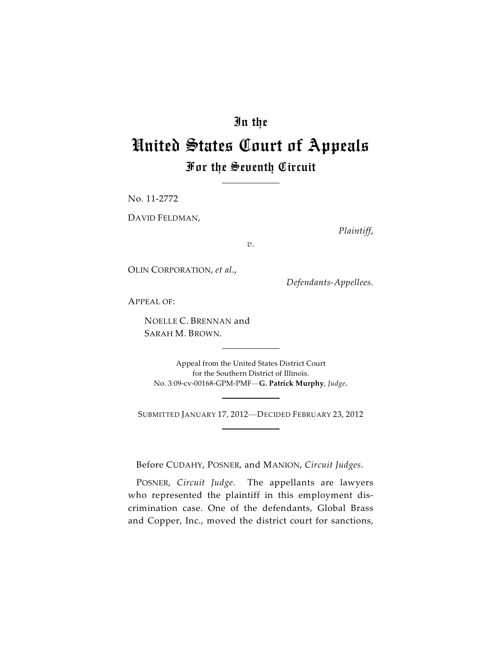## In the

## United States Court of Appeals For the Seventh Circuit

No. 11-2772

DAVID FELDMAN,

*Plaintiff*,

*v*.

OLIN CORPORATION, *et al*.,

*Defendants-Appellees.*

APPEAL OF:

NOELLE C. BRENNAN and SARAH M. BROWN.

Appeal from the United States District Court for the Southern District of Illinois. No. 3:09-cv-00168-GPM-PMF—**G. Patrick Murphy**, *Judge*.

SUBMITTED JANUARY 17, 2012—DECIDED FEBRUARY 23, 2012

Before CUDAHY, POSNER, and MANION, *Circuit Judges*.

POSNER, *Circuit Judge*. The appellants are lawyers who represented the plaintiff in this employment discrimination case. One of the defendants, Global Brass and Copper, Inc., moved the district court for sanctions,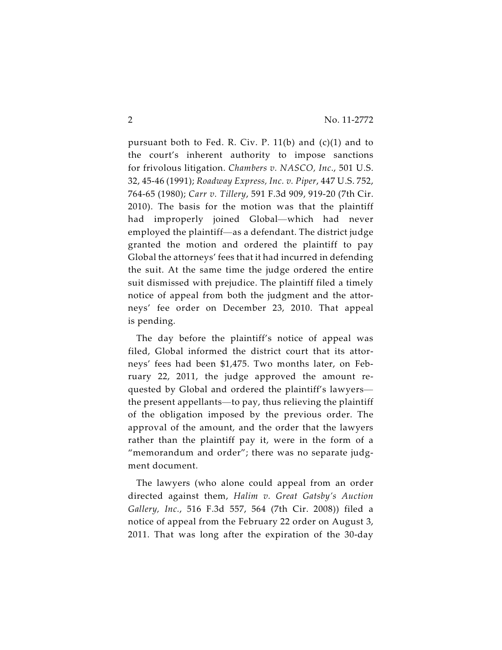pursuant both to Fed. R. Civ. P.  $11(b)$  and  $(c)(1)$  and to the court's inherent authority to impose sanctions for frivolous litigation. *Chambers v. NASCO, Inc*., 501 U.S. 32, 45-46 (1991); *Roadway Express, Inc. v. Piper*, 447 U.S. 752, 764-65 (1980); *Carr v. Tillery*, 591 F.3d 909, 919-20 (7th Cir. 2010). The basis for the motion was that the plaintiff had improperly joined Global—which had never employed the plaintiff—as a defendant. The district judge granted the motion and ordered the plaintiff to pay Global the attorneys' fees that it had incurred in defending the suit. At the same time the judge ordered the entire suit dismissed with prejudice. The plaintiff filed a timely notice of appeal from both the judgment and the attorneys' fee order on December 23, 2010. That appeal is pending.

The day before the plaintiff's notice of appeal was filed, Global informed the district court that its attorneys' fees had been \$1,475. Two months later, on February 22, 2011, the judge approved the amount requested by Global and ordered the plaintiff's lawyers the present appellants—to pay, thus relieving the plaintiff of the obligation imposed by the previous order. The approval of the amount, and the order that the lawyers rather than the plaintiff pay it, were in the form of a "memorandum and order"; there was no separate judgment document.

The lawyers (who alone could appeal from an order directed against them, *Halim v. Great Gatsby's Auction Gallery, Inc.*, 516 F.3d 557, 564 (7th Cir. 2008)) filed a notice of appeal from the February 22 order on August 3, 2011. That was long after the expiration of the 30-day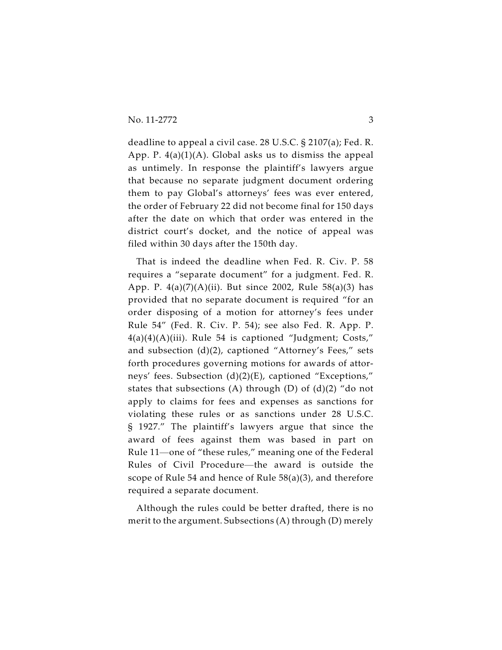deadline to appeal a civil case. 28 U.S.C. § 2107(a); Fed. R. App. P.  $4(a)(1)(A)$ . Global asks us to dismiss the appeal as untimely. In response the plaintiff's lawyers argue that because no separate judgment document ordering them to pay Global's attorneys' fees was ever entered, the order of February 22 did not become final for 150 days after the date on which that order was entered in the district court's docket, and the notice of appeal was filed within 30 days after the 150th day.

That is indeed the deadline when Fed. R. Civ. P. 58 requires a "separate document" for a judgment. Fed. R. App. P.  $4(a)(7)(A)(ii)$ . But since 2002, Rule 58(a)(3) has provided that no separate document is required "for an order disposing of a motion for attorney's fees under Rule 54" (Fed. R. Civ. P. 54); see also Fed. R. App. P.  $4(a)(4)(A)(iii)$ . Rule 54 is captioned "Judgment; Costs," and subsection (d)(2), captioned "Attorney's Fees," sets forth procedures governing motions for awards of attorneys' fees. Subsection (d)(2)(E), captioned "Exceptions," states that subsections (A) through (D) of  $(d)(2)$  "do not apply to claims for fees and expenses as sanctions for violating these rules or as sanctions under 28 U.S.C. § 1927." The plaintiff's lawyers argue that since the award of fees against them was based in part on Rule 11—one of "these rules," meaning one of the Federal Rules of Civil Procedure—the award is outside the scope of Rule 54 and hence of Rule 58(a)(3), and therefore required a separate document.

Although the rules could be better drafted, there is no merit to the argument. Subsections (A) through (D) merely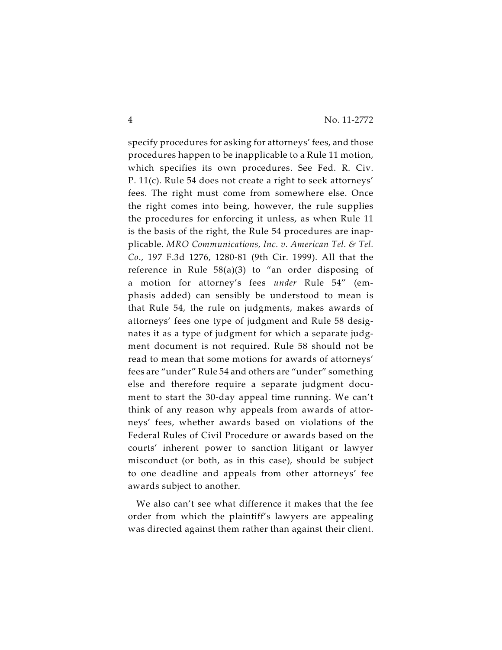specify procedures for asking for attorneys' fees, and those procedures happen to be inapplicable to a Rule 11 motion, which specifies its own procedures. See Fed. R. Civ. P. 11(c). Rule 54 does not create a right to seek attorneys' fees. The right must come from somewhere else. Once the right comes into being, however, the rule supplies the procedures for enforcing it unless, as when Rule 11 is the basis of the right, the Rule 54 procedures are inapplicable. *MRO Communications, Inc. v. American Tel. & Tel. Co*., 197 F.3d 1276, 1280-81 (9th Cir. 1999). All that the reference in Rule  $58(a)(3)$  to "an order disposing of a motion for attorney's fees *under* Rule 54" (emphasis added) can sensibly be understood to mean is that Rule 54, the rule on judgments, makes awards of attorneys' fees one type of judgment and Rule 58 designates it as a type of judgment for which a separate judgment document is not required. Rule 58 should not be read to mean that some motions for awards of attorneys' fees are "under" Rule 54 and others are "under" something else and therefore require a separate judgment document to start the 30-day appeal time running. We can't think of any reason why appeals from awards of attorneys' fees, whether awards based on violations of the Federal Rules of Civil Procedure or awards based on the courts' inherent power to sanction litigant or lawyer misconduct (or both, as in this case), should be subject to one deadline and appeals from other attorneys' fee awards subject to another.

We also can't see what difference it makes that the fee order from which the plaintiff's lawyers are appealing was directed against them rather than against their client.